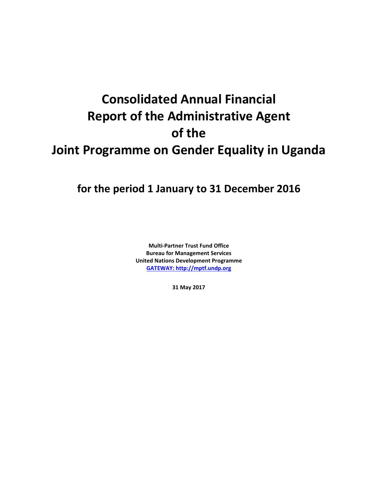# **Consolidated Annual Financial Report of the Administrative Agent of the Joint Programme on Gender Equality in Uganda**

## **for the period 1 January to 31 December 2016**

**Multi-Partner Trust Fund Office Bureau for Management Services United Nations Development Programme [GATEWAY: http://mptf.undp.org](http://mptf.undp.org/)**

**31 May 2017**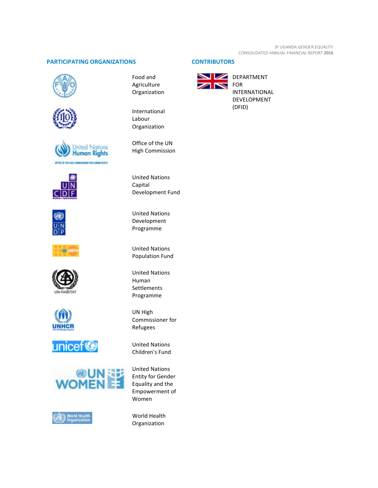### **PARTICIPATING ORGANIZATIONS CONTRIBUTORS**























Food and Agriculture Organization

International Labour Organization

Office of the UN High Commission

United Nations Capital Development Fund

United Nations Development Programme

United Nations Population Fund

United Nations Human Settlements Programme

UN High Commissioner for Refugees

United Nations Children's Fund

United Nations Entity for Gender Equality and the Empowerment of Women

World Health Organization



DEPARTMENT FOR INTERNATIONAL DEVELOPMENT (DFID)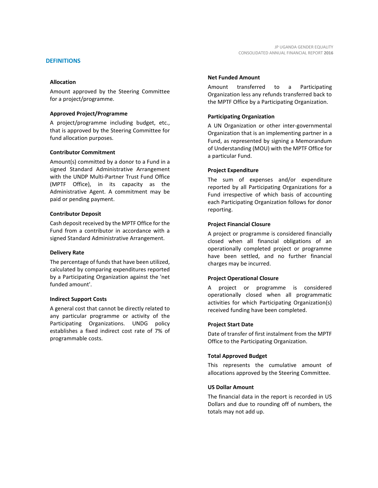Amount approved by the Steering Committee for a project/programme.

#### **Approved Project/Programme**

A project/programme including budget, etc., that is approved by the Steering Committee for fund allocation purposes.

#### **Contributor Commitment**

Amount(s) committed by a donor to a Fund in a signed Standard Administrative Arrangement with the UNDP Multi-Partner Trust Fund Office (MPTF Office), in its capacity as the Administrative Agent. A commitment may be paid or pending payment.

#### **Contributor Deposit**

Cash deposit received by the MPTF Office for the Fund from a contributor in accordance with a signed Standard Administrative Arrangement.

#### **Delivery Rate**

The percentage of funds that have been utilized, calculated by comparing expenditures reported by a Participating Organization against the 'net funded amount'.

#### **Indirect Support Costs**

A general cost that cannot be directly related to any particular programme or activity of the Participating Organizations. UNDG policy establishes a fixed indirect cost rate of 7% of programmable costs.

#### **Net Funded Amount**

Amount transferred to a Participating Organization less any refunds transferred back to the MPTF Office by a Participating Organization.

#### **Participating Organization**

A UN Organization or other inter-governmental Organization that is an implementing partner in a Fund, as represented by signing a Memorandum of Understanding (MOU) with the MPTF Office for a particular Fund.

#### **Project Expenditure**

The sum of expenses and/or expenditure reported by all Participating Organizations for a Fund irrespective of which basis of accounting each Participating Organization follows for donor reporting.

#### **Project Financial Closure**

A project or programme is considered financially closed when all financial obligations of an operationally completed project or programme have been settled, and no further financial charges may be incurred.

#### **Project Operational Closure**

A project or programme is considered operationally closed when all programmatic activities for which Participating Organization(s) received funding have been completed.

#### **Project Start Date**

Date of transfer of first instalment from the MPTF Office to the Participating Organization.

#### **Total Approved Budget**

This represents the cumulative amount of allocations approved by the Steering Committee.

#### **US Dollar Amount**

The financial data in the report is recorded in US Dollars and due to rounding off of numbers, the totals may not add up.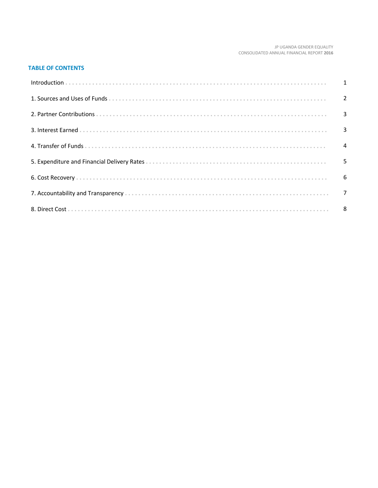#### JP UGANDA GENDER EQUALITY CONSOLIDATED ANNUAL FINANCIAL REPORT 2016

#### **TABLE OF CONTENTS**

| 5 |
|---|
|   |
|   |
|   |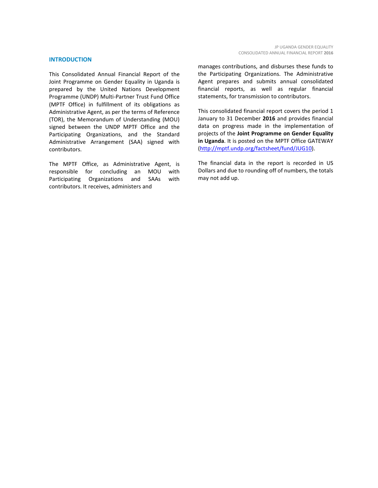#### **INTRODUCTION**

This Consolidated Annual Financial Report of the Joint Programme on Gender Equality in Uganda is prepared by the United Nations Development Programme (UNDP) Multi-Partner Trust Fund Office (MPTF Office) in fulfillment of its obligations as Administrative Agent, as per the terms of Reference (TOR), the Memorandum of Understanding (MOU) signed between the UNDP MPTF Office and the Participating Organizations, and the Standard Administrative Arrangement (SAA) signed with contributors.

The MPTF Office, as Administrative Agent, is responsible for concluding an MOU with Participating Organizations and SAAs with contributors. It receives, administers and

manages contributions, and disburses these funds to the Participating Organizations. The Administrative Agent prepares and submits annual consolidated financial reports, as well as regular financial statements, for transmission to contributors.

This consolidated financial report covers the period 1 January to 31 December **2016** and provides financial data on progress made in the implementation of projects of the **Joint Programme on Gender Equality in Uganda**. It is posted on the MPTF Office GATEWAY [\(http://mptf.undp.org/factsheet/fund/JUG10\)](http://mptf.undp.org/factsheet/fund/JUG10).

The financial data in the report is recorded in US Dollars and due to rounding off of numbers, the totals may not add up.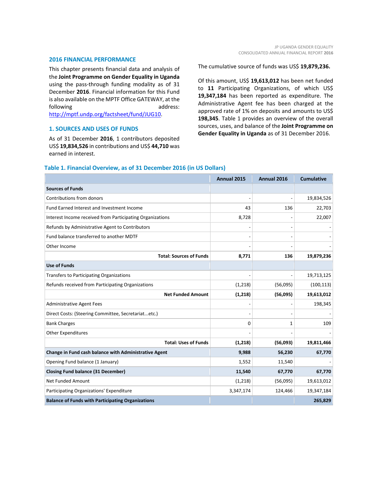#### **2016 FINANCIAL PERFORMANCE**

This chapter presents financial data and analysis of the **Joint Programme on Gender Equality in Uganda** using the pass-through funding modality as of 31 December **2016**. Financial information for this Fund is also available on the MPTF Office GATEWAY, at the following and a state and a state and a state and a state and a state and a state and a state and a state and a [http://mptf.undp.org/factsheet/fund/JUG10.](http://mptf.undp.org/factsheet/fund/JUG10)

#### **1. SOURCES AND USES OF FUNDS**

As of 31 December **2016**, 1 contributors deposited US\$ **19,834,526** in contributions and US\$ **44,710** was earned in interest.

The cumulative source of funds was US\$ **19,879,236.**

Of this amount, US\$ **19,613,012** has been net funded to **11** Participating Organizations, of which US\$ **19,347,184** has been reported as expenditure. The Administrative Agent fee has been charged at the approved rate of 1% on deposits and amounts to US\$ **198,345**. Table 1 provides an overview of the overall sources, uses, and balance of the **Joint Programme on Gender Equality in Uganda** as of 31 December 2016.

|                                                           | Annual 2015 | Annual 2016 | <b>Cumulative</b> |
|-----------------------------------------------------------|-------------|-------------|-------------------|
| <b>Sources of Funds</b>                                   |             |             |                   |
| Contributions from donors                                 |             |             | 19,834,526        |
| Fund Earned Interest and Investment Income                | 43          | 136         | 22,703            |
| Interest Income received from Participating Organizations | 8,728       |             | 22,007            |
| Refunds by Administrative Agent to Contributors           |             |             |                   |
| Fund balance transferred to another MDTF                  |             |             |                   |
| Other Income                                              |             |             |                   |
| <b>Total: Sources of Funds</b>                            | 8,771       | 136         | 19,879,236        |
| <b>Use of Funds</b>                                       |             |             |                   |
| Transfers to Participating Organizations                  |             |             | 19,713,125        |
| Refunds received from Participating Organizations         | (1,218)     | (56,095)    | (100, 113)        |
| <b>Net Funded Amount</b>                                  | (1,218)     | (56,095)    | 19,613,012        |
| <b>Administrative Agent Fees</b>                          |             |             | 198,345           |
| Direct Costs: (Steering Committee, Secretariatetc.)       |             |             |                   |
| <b>Bank Charges</b>                                       | $\Omega$    | 1           | 109               |
| <b>Other Expenditures</b>                                 |             |             |                   |
| <b>Total: Uses of Funds</b>                               | (1,218)     | (56,093)    | 19,811,466        |
| Change in Fund cash balance with Administrative Agent     | 9,988       | 56,230      | 67,770            |
| Opening Fund balance (1 January)                          | 1,552       | 11,540      |                   |
| <b>Closing Fund balance (31 December)</b>                 | 11,540      | 67,770      | 67,770            |
| <b>Net Funded Amount</b>                                  | (1,218)     | (56,095)    | 19,613,012        |
| Participating Organizations' Expenditure                  | 3,347,174   | 124,466     | 19,347,184        |
| <b>Balance of Funds with Participating Organizations</b>  |             |             | 265,829           |

#### **Table 1. Financial Overview, as of 31 December 2016 (in US Dollars)**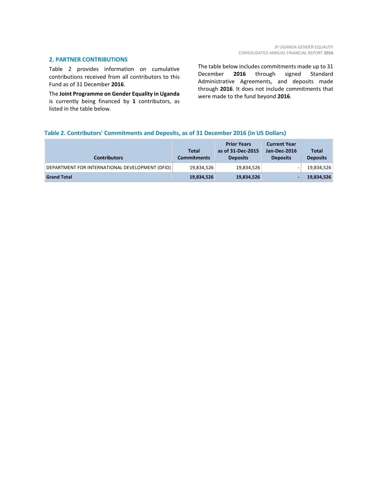#### **2. PARTNER CONTRIBUTIONS**

Table 2 provides information on cumulative contributions received from all contributors to this Fund as of 31 December **2016**.

The **Joint Programme on Gender Equality in Uganda** is currently being financed by **1** contributors, as listed in the table below.

The table below includes commitments made up to 31 December **2016** through signed Standard Administrative Agreements, and deposits made through **2016**. It does not include commitments that were made to the fund beyond **2016**.

#### **Table 2. Contributors' Commitments and Deposits, as of 31 December 2016 (in US Dollars)**

| <b>Contributors</b>                             | <b>Total</b><br><b>Commitments</b> | <b>Prior Years</b><br>as of 31-Dec-2015<br><b>Deposits</b> | <b>Current Year</b><br>Jan-Dec-2016<br><b>Deposits</b> | <b>Total</b><br><b>Deposits</b> |
|-------------------------------------------------|------------------------------------|------------------------------------------------------------|--------------------------------------------------------|---------------------------------|
| DEPARTMENT FOR INTERNATIONAL DEVELOPMENT (DFID) | 19,834,526                         | 19,834,526                                                 |                                                        | 19,834,526                      |
| <b>Grand Total</b>                              | 19,834,526                         | 19,834,526                                                 |                                                        | 19,834,526                      |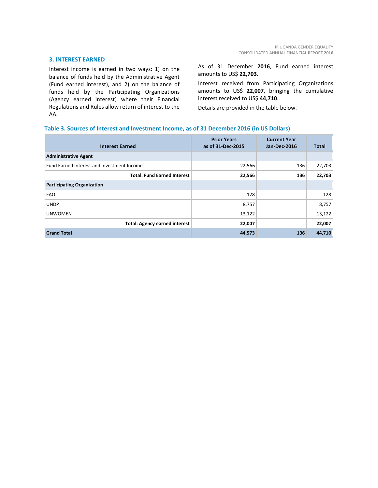#### **3. INTEREST EARNED**

Interest income is earned in two ways: 1) on the balance of funds held by the Administrative Agent (Fund earned interest), and 2) on the balance of funds held by the Participating Organizations (Agency earned interest) where their Financial Regulations and Rules allow return of interest to the AA.

As of 31 December **2016**, Fund earned interest amounts to US\$ **22,703**.

Interest received from Participating Organizations amounts to US\$ **22,007**, bringing the cumulative interest received to US\$ **44,710**.

Details are provided in the table below.

#### **Table 3. Sources of Interest and Investment Income, as of 31 December 2016 (in US Dollars)**

| <b>Interest Earned</b>                     | <b>Prior Years</b><br>as of 31-Dec-2015 | <b>Current Year</b><br>Jan-Dec-2016 | <b>Total</b> |
|--------------------------------------------|-----------------------------------------|-------------------------------------|--------------|
| <b>Administrative Agent</b>                |                                         |                                     |              |
| Fund Earned Interest and Investment Income | 22,566                                  | 136                                 | 22,703       |
| <b>Total: Fund Earned Interest</b>         | 22,566                                  | 136                                 | 22,703       |
| <b>Participating Organization</b>          |                                         |                                     |              |
| <b>FAO</b>                                 | 128                                     |                                     | 128          |
| <b>UNDP</b>                                | 8,757                                   |                                     | 8,757        |
| <b>UNWOMEN</b>                             | 13,122                                  |                                     | 13,122       |
| <b>Total: Agency earned interest</b>       | 22,007                                  |                                     | 22,007       |
| <b>Grand Total</b>                         | 44,573                                  | 136                                 | 44,710       |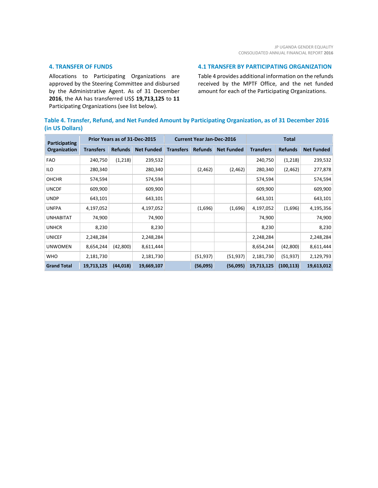#### **4. TRANSFER OF FUNDS**

Allocations to Participating Organizations are approved by the Steering Committee and disbursed by the Administrative Agent. As of 31 December **2016**, the AA has transferred US\$ **19,713,125** to **11** Participating Organizations (see list below).

#### **4.1 TRANSFER BY PARTICIPATING ORGANIZATION**

Table 4 provides additional information on the refunds received by the MPTF Office, and the net funded amount for each of the Participating Organizations.

### **Table 4. Transfer, Refund, and Net Funded Amount by Participating Organization, as of 31 December 2016 (in US Dollars)**

| Participating      | Prior Years as of 31-Dec-2015 |                |                   | <b>Current Year Jan-Dec-2016</b> |                |                   | <b>Total</b>     |                |                   |
|--------------------|-------------------------------|----------------|-------------------|----------------------------------|----------------|-------------------|------------------|----------------|-------------------|
| Organization       | <b>Transfers</b>              | <b>Refunds</b> | <b>Net Funded</b> | <b>Transfers</b>                 | <b>Refunds</b> | <b>Net Funded</b> | <b>Transfers</b> | <b>Refunds</b> | <b>Net Funded</b> |
| <b>FAO</b>         | 240,750                       | (1,218)        | 239,532           |                                  |                |                   | 240,750          | (1,218)        | 239,532           |
| ILO                | 280,340                       |                | 280,340           |                                  | (2,462)        | (2,462)           | 280,340          | (2,462)        | 277,878           |
| <b>OHCHR</b>       | 574,594                       |                | 574,594           |                                  |                |                   | 574,594          |                | 574,594           |
| <b>UNCDF</b>       | 609,900                       |                | 609,900           |                                  |                |                   | 609,900          |                | 609,900           |
| <b>UNDP</b>        | 643,101                       |                | 643,101           |                                  |                |                   | 643,101          |                | 643,101           |
| <b>UNFPA</b>       | 4,197,052                     |                | 4,197,052         |                                  | (1,696)        | (1,696)           | 4,197,052        | (1,696)        | 4,195,356         |
| <b>UNHABITAT</b>   | 74,900                        |                | 74,900            |                                  |                |                   | 74,900           |                | 74,900            |
| <b>UNHCR</b>       | 8,230                         |                | 8,230             |                                  |                |                   | 8,230            |                | 8,230             |
| <b>UNICEF</b>      | 2,248,284                     |                | 2,248,284         |                                  |                |                   | 2,248,284        |                | 2,248,284         |
| <b>UNWOMEN</b>     | 8,654,244                     | (42, 800)      | 8,611,444         |                                  |                |                   | 8,654,244        | (42, 800)      | 8,611,444         |
| <b>WHO</b>         | 2,181,730                     |                | 2,181,730         |                                  | (51, 937)      | (51, 937)         | 2,181,730        | (51, 937)      | 2,129,793         |
| <b>Grand Total</b> | 19,713,125                    | (44, 018)      | 19,669,107        |                                  | (56,095)       | (56,095)          | 19,713,125       | (100, 113)     | 19,613,012        |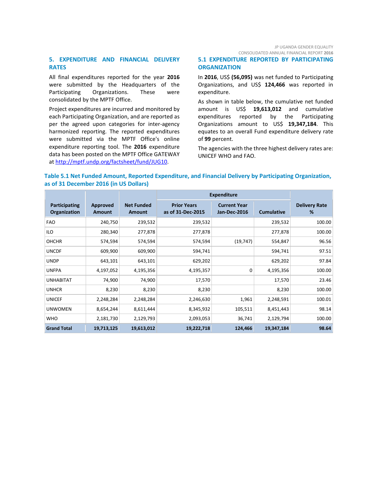JP UGANDA GENDER EQUALITY CONSOLIDATED ANNUAL FINANCIAL REPORT **2016**

#### **5. EXPENDITURE AND FINANCIAL DELIVERY RATES**

All final expenditures reported for the year **2016** were submitted by the Headquarters of the Participating Organizations. These were consolidated by the MPTF Office.

Project expenditures are incurred and monitored by each Participating Organization, and are reported as per the agreed upon categories for inter-agency harmonized reporting. The reported expenditures were submitted via the MPTF Office's online expenditure reporting tool. The **2016** expenditure data has been posted on the MPTF Office GATEWAY at [http://mptf.undp.org/factsheet/fund/JUG10.](http://mptf.undp.org/factsheet/fund/JUG10)

#### **5.1 EXPENDITURE REPORTED BY PARTICIPATING ORGANIZATION**

In **2016**, US\$ **(56,095)** was net funded to Participating Organizations, and US\$ **124,466** was reported in expenditure.

As shown in table below, the cumulative net funded amount is US\$ **19,613,012** and cumulative expenditures reported by the Participating Organizations amount to US\$ **19,347,184**. This equates to an overall Fund expenditure delivery rate of **99** percent.

The agencies with the three highest delivery rates are: UNICEF WHO and FAO.

#### **Table 5.1 Net Funded Amount, Reported Expenditure, and Financial Delivery by Participating Organization, as of 31 December 2016 (in US Dollars)**

|                               |                                  |                                    | <b>Expenditure</b>                      |                                            |                   |                           |
|-------------------------------|----------------------------------|------------------------------------|-----------------------------------------|--------------------------------------------|-------------------|---------------------------|
| Participating<br>Organization | <b>Approved</b><br><b>Amount</b> | <b>Net Funded</b><br><b>Amount</b> | <b>Prior Years</b><br>as of 31-Dec-2015 | <b>Current Year</b><br><b>Jan-Dec-2016</b> | <b>Cumulative</b> | <b>Delivery Rate</b><br>% |
| <b>FAO</b>                    | 240,750                          | 239,532                            | 239,532                                 |                                            | 239,532           | 100.00                    |
| ILO                           | 280,340                          | 277,878                            | 277,878                                 |                                            | 277,878           | 100.00                    |
| <b>OHCHR</b>                  | 574,594                          | 574,594                            | 574,594                                 | (19, 747)                                  | 554,847           | 96.56                     |
| <b>UNCDF</b>                  | 609,900                          | 609,900                            | 594,741                                 |                                            | 594,741           | 97.51                     |
| <b>UNDP</b>                   | 643,101                          | 643,101                            | 629,202                                 |                                            | 629,202           | 97.84                     |
| <b>UNFPA</b>                  | 4,197,052                        | 4,195,356                          | 4,195,357                               | 0                                          | 4,195,356         | 100.00                    |
| <b>UNHABITAT</b>              | 74,900                           | 74,900                             | 17,570                                  |                                            | 17,570            | 23.46                     |
| <b>UNHCR</b>                  | 8,230                            | 8,230                              | 8,230                                   |                                            | 8,230             | 100.00                    |
| <b>UNICEF</b>                 | 2,248,284                        | 2,248,284                          | 2,246,630                               | 1,961                                      | 2,248,591         | 100.01                    |
| <b>UNWOMEN</b>                | 8,654,244                        | 8,611,444                          | 8,345,932                               | 105,511                                    | 8,451,443         | 98.14                     |
| <b>WHO</b>                    | 2,181,730                        | 2,129,793                          | 2,093,053                               | 36,741                                     | 2,129,794         | 100.00                    |
| <b>Grand Total</b>            | 19,713,125                       | 19,613,012                         | 19,222,718                              | 124,466                                    | 19,347,184        | 98.64                     |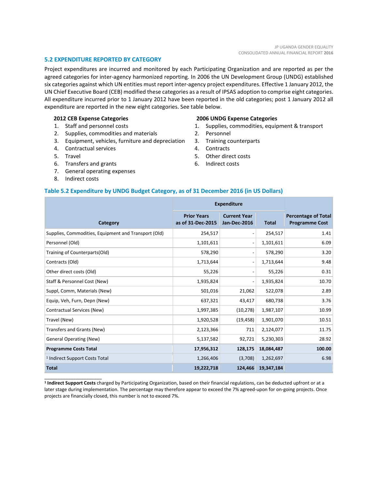#### **5.2 EXPENDITURE REPORTED BY CATEGORY**

Project expenditures are incurred and monitored by each Participating Organization and are reported as per the agreed categories for inter-agency harmonized reporting. In 2006 the UN Development Group (UNDG) established six categories against which UN entities must report inter-agency project expenditures. Effective 1 January 2012, the UN Chief Executive Board (CEB) modified these categories as a result of IPSAS adoption to comprise eight categories. All expenditure incurred prior to 1 January 2012 have been reported in the old categories; post 1 January 2012 all expenditure are reported in the new eight categories. See table below.

#### **2012 CEB Expense Categories**

- 1. Staff and personnel costs
- 2. Supplies, commodities and materials
- 3. Equipment, vehicles, furniture and depreciation
- 4. Contractual services
- 5. Travel
- 6. Transfers and grants
- 7. General operating expenses
- 8. Indirect costs

\_\_\_\_\_\_\_\_\_\_\_\_\_\_\_\_\_\_\_\_\_\_

#### **2006 UNDG Expense Categories**

- 1. Supplies, commodities, equipment & transport
- 2. Personnel
- 3. Training counterparts
- 4. Contracts
- 5. Other direct costs
- 6. Indirect costs

#### **Table 5.2 Expenditure by UNDG Budget Category, as of 31 December 2016 (in US Dollars)**

|                                                      | <b>Expenditure</b>                      |                                            |              |                                                     |
|------------------------------------------------------|-----------------------------------------|--------------------------------------------|--------------|-----------------------------------------------------|
| Category                                             | <b>Prior Years</b><br>as of 31-Dec-2015 | <b>Current Year</b><br><b>Jan-Dec-2016</b> | <b>Total</b> | <b>Percentage of Total</b><br><b>Programme Cost</b> |
| Supplies, Commodities, Equipment and Transport (Old) | 254,517                                 |                                            | 254,517      | 1.41                                                |
| Personnel (Old)                                      | 1,101,611                               |                                            | 1,101,611    | 6.09                                                |
| Training of Counterparts(Old)                        | 578,290                                 |                                            | 578,290      | 3.20                                                |
| Contracts (Old)                                      | 1,713,644                               |                                            | 1,713,644    | 9.48                                                |
| Other direct costs (Old)                             | 55,226                                  |                                            | 55,226       | 0.31                                                |
| Staff & Personnel Cost (New)                         | 1,935,824                               |                                            | 1,935,824    | 10.70                                               |
| Suppl, Comm, Materials (New)                         | 501,016                                 | 21,062                                     | 522,078      | 2.89                                                |
| Equip, Veh, Furn, Depn (New)                         | 637,321                                 | 43,417                                     | 680,738      | 3.76                                                |
| Contractual Services (New)                           | 1,997,385                               | (10, 278)                                  | 1,987,107    | 10.99                                               |
| Travel (New)                                         | 1,920,528                               | (19, 458)                                  | 1,901,070    | 10.51                                               |
| Transfers and Grants (New)                           | 2,123,366                               | 711                                        | 2,124,077    | 11.75                                               |
| <b>General Operating (New)</b>                       | 5,137,582                               | 92,721                                     | 5,230,303    | 28.92                                               |
| <b>Programme Costs Total</b>                         | 17,956,312                              | 128,175                                    | 18,084,487   | 100.00                                              |
| <sup>1</sup> Indirect Support Costs Total            | 1,266,406                               | (3,708)                                    | 1,262,697    | 6.98                                                |
| <b>Total</b>                                         | 19,222,718                              | 124,466                                    | 19,347,184   |                                                     |

**<sup>1</sup> Indirect Support Costs** charged by Participating Organization, based on their financial regulations, can be deducted upfront or at a later stage during implementation. The percentage may therefore appear to exceed the 7% agreed-upon for on-going projects. Once projects are financially closed, this number is not to exceed 7%.